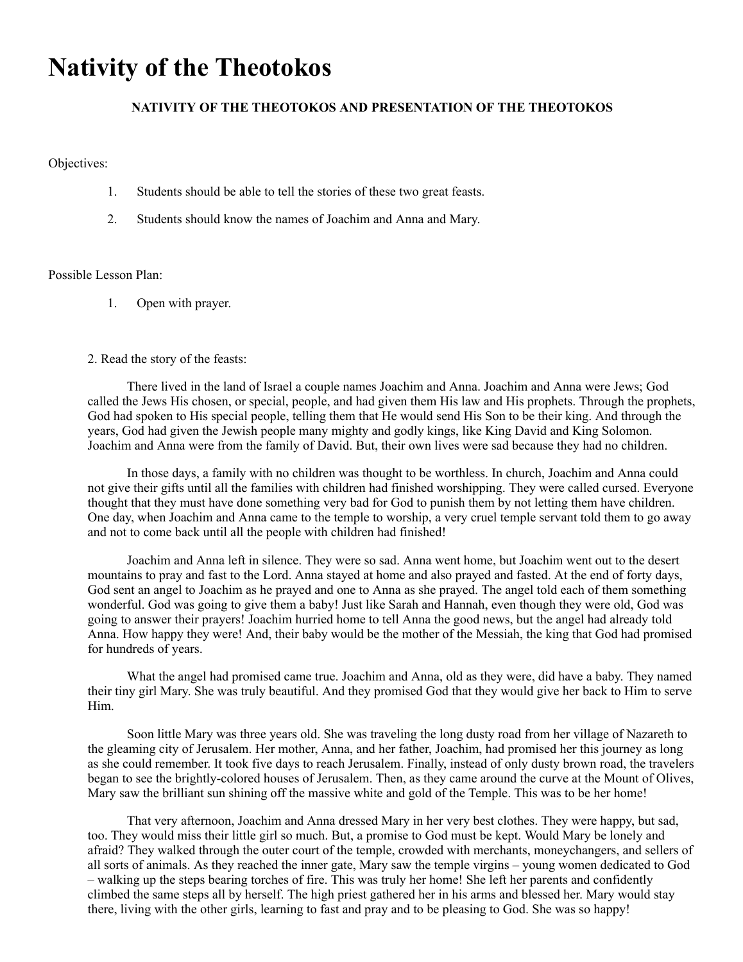# **Nativity of the Theotokos**

## **NATIVITY OF THE THEOTOKOS AND PRESENTATION OF THE THEOTOKOS**

Objectives:

- 1. Students should be able to tell the stories of these two great feasts.
- 2. Students should know the names of Joachim and Anna and Mary.

### Possible Lesson Plan:

1. Open with prayer.

### 2. Read the story of the feasts:

 There lived in the land of Israel a couple names Joachim and Anna. Joachim and Anna were Jews; God called the Jews His chosen, or special, people, and had given them His law and His prophets. Through the prophets, God had spoken to His special people, telling them that He would send His Son to be their king. And through the years, God had given the Jewish people many mighty and godly kings, like King David and King Solomon. Joachim and Anna were from the family of David. But, their own lives were sad because they had no children.

 In those days, a family with no children was thought to be worthless. In church, Joachim and Anna could not give their gifts until all the families with children had finished worshipping. They were called cursed. Everyone thought that they must have done something very bad for God to punish them by not letting them have children. One day, when Joachim and Anna came to the temple to worship, a very cruel temple servant told them to go away and not to come back until all the people with children had finished!

 Joachim and Anna left in silence. They were so sad. Anna went home, but Joachim went out to the desert mountains to pray and fast to the Lord. Anna stayed at home and also prayed and fasted. At the end of forty days, God sent an angel to Joachim as he prayed and one to Anna as she prayed. The angel told each of them something wonderful. God was going to give them a baby! Just like Sarah and Hannah, even though they were old, God was going to answer their prayers! Joachim hurried home to tell Anna the good news, but the angel had already told Anna. How happy they were! And, their baby would be the mother of the Messiah, the king that God had promised for hundreds of years.

 What the angel had promised came true. Joachim and Anna, old as they were, did have a baby. They named their tiny girl Mary. She was truly beautiful. And they promised God that they would give her back to Him to serve Him.

 Soon little Mary was three years old. She was traveling the long dusty road from her village of Nazareth to the gleaming city of Jerusalem. Her mother, Anna, and her father, Joachim, had promised her this journey as long as she could remember. It took five days to reach Jerusalem. Finally, instead of only dusty brown road, the travelers began to see the brightly-colored houses of Jerusalem. Then, as they came around the curve at the Mount of Olives, Mary saw the brilliant sun shining off the massive white and gold of the Temple. This was to be her home!

 That very afternoon, Joachim and Anna dressed Mary in her very best clothes. They were happy, but sad, too. They would miss their little girl so much. But, a promise to God must be kept. Would Mary be lonely and afraid? They walked through the outer court of the temple, crowded with merchants, moneychangers, and sellers of all sorts of animals. As they reached the inner gate, Mary saw the temple virgins – young women dedicated to God – walking up the steps bearing torches of fire. This was truly her home! She left her parents and confidently climbed the same steps all by herself. The high priest gathered her in his arms and blessed her. Mary would stay there, living with the other girls, learning to fast and pray and to be pleasing to God. She was so happy!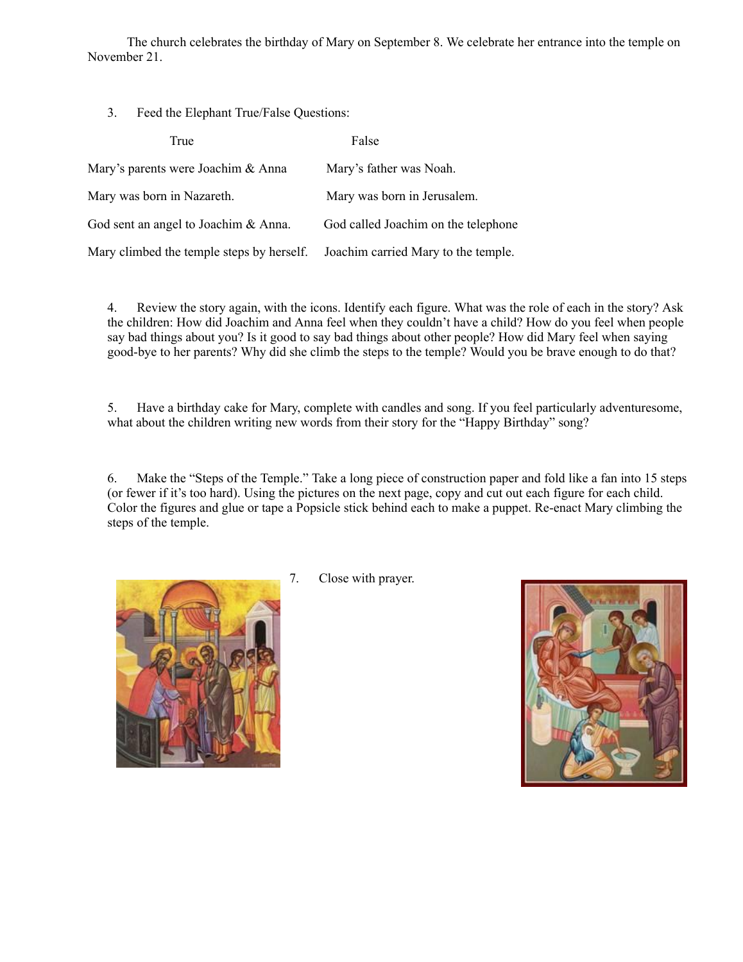The church celebrates the birthday of Mary on September 8. We celebrate her entrance into the temple on November 21.

3. Feed the Elephant True/False Questions:

| True                                                                          | False                               |
|-------------------------------------------------------------------------------|-------------------------------------|
| Mary's parents were Joachim & Anna                                            | Mary's father was Noah.             |
| Mary was born in Nazareth.                                                    | Mary was born in Jerusalem.         |
| God sent an angel to Joachim & Anna.                                          | God called Joachim on the telephone |
| Mary climbed the temple steps by herself. Joachim carried Mary to the temple. |                                     |

4. Review the story again, with the icons. Identify each figure. What was the role of each in the story? Ask the children: How did Joachim and Anna feel when they couldn't have a child? How do you feel when people say bad things about you? Is it good to say bad things about other people? How did Mary feel when saying good-bye to her parents? Why did she climb the steps to the temple? Would you be brave enough to do that?

5. Have a birthday cake for Mary, complete with candles and song. If you feel particularly adventuresome, what about the children writing new words from their story for the "Happy Birthday" song?

6. Make the "Steps of the Temple." Take a long piece of construction paper and fold like a fan into 15 steps (or fewer if it's too hard). Using the pictures on the next page, copy and cut out each figure for each child. Color the figures and glue or tape a Popsicle stick behind each to make a puppet. Re-enact Mary climbing the steps of the temple.



7. Close with prayer.

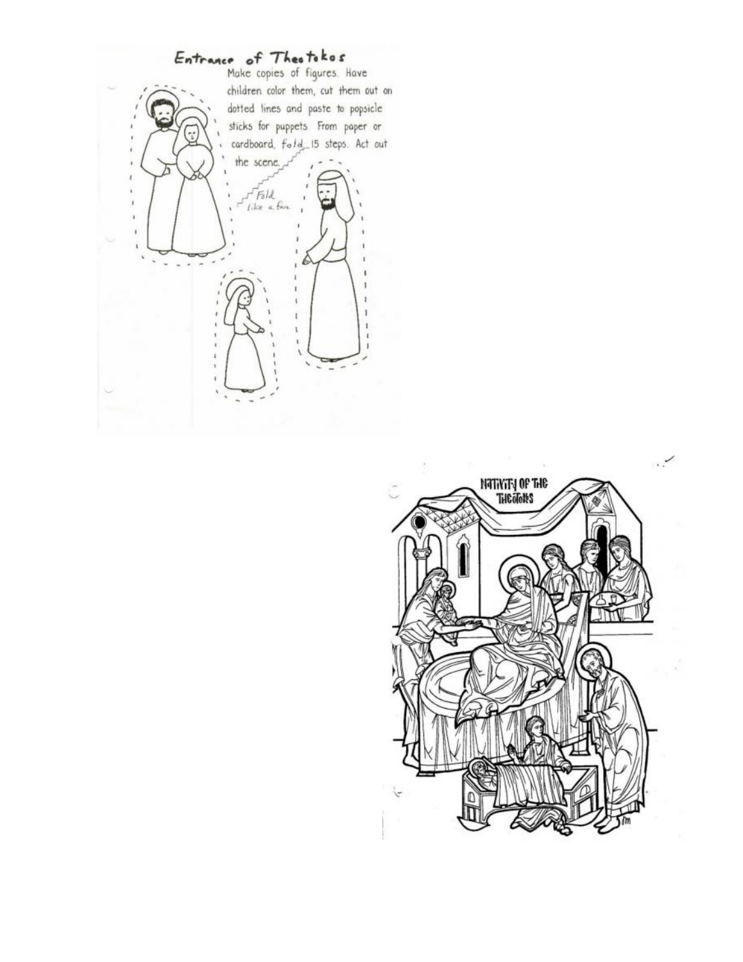